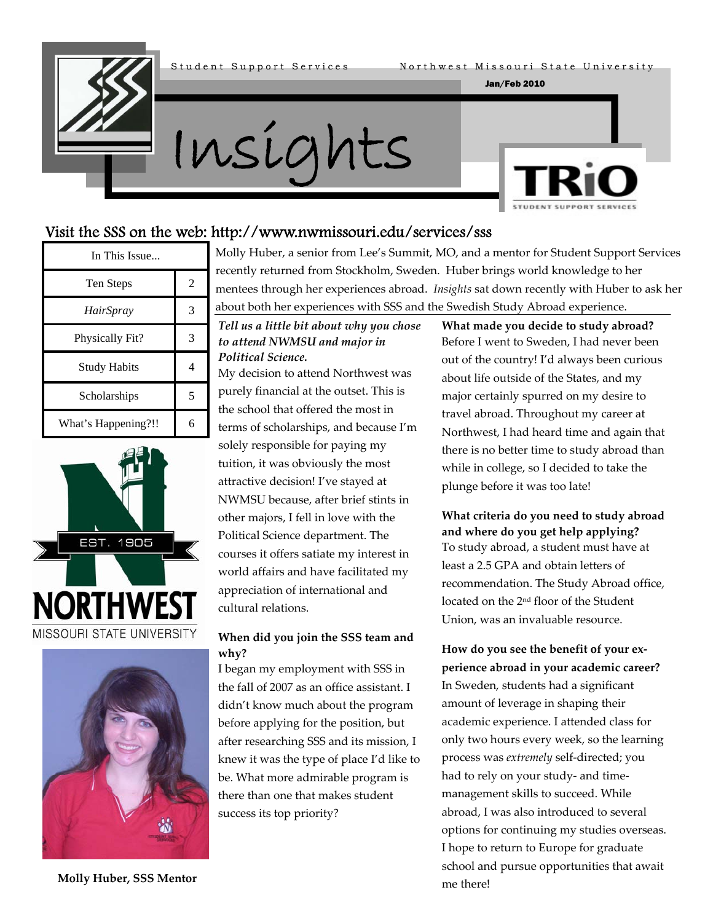

#### Jan/Feb 2010



#### Visit the SSS on the web: http://www.nwmissouri.edu/services/sss

| In This Issue       |   |  |
|---------------------|---|--|
| Ten Steps           | 2 |  |
| <i>HairSpray</i>    | 3 |  |
| Physically Fit?     | 3 |  |
| <b>Study Habits</b> |   |  |
| Scholarships        | 5 |  |
| What's Happening?!! | б |  |





Molly Huber, a senior from Lee's Summit, MO, and a mentor for Student Support Services recently returned from Stockholm, Sweden. Huber brings world knowledge to her mentees through her experiences abroad. *Insights* sat down recently with Huber to ask her about both her experiences with SSS and the Swedish Study Abroad experience.

*Tell us a little bit about why you chose to attend NWMSU and major in Political Science.*

My decision to attend Northwest was purely financial at the outset. This is the school that offered the most in terms of scholarships, and because I'm solely responsible for paying my tuition, it was obviously the most attractive decision! I've stayed at NWMSU because, after brief stints in other majors, I fell in love with the Political Science department. The courses it offers satiate my interest in world affairs and have facilitated my appreciation of international and cultural relations.

#### **When did you join the SSS team and why?**

I began my employment with SSS in the fall of 2007 as an office assistant. I didn't know much about the program before applying for the position, but after researching SSS and its mission, I knew it was the type of place I'd like to be. What more admirable program is there than one that makes student success its top priority?

**What made you decide to study abroad?** Before I went to Sweden, I had never been out of the country! I'd always been curious about life outside of the States, and my major certainly spurred on my desire to travel abroad. Throughout my career at Northwest, I had heard time and again that there is no better time to study abroad than while in college, so I decided to take the plunge before it was too late!

#### **What criteria do you need to study abroad and where do you get help applying?** To study abroad, a student must have at least a 2.5 GPA and obtain letters of recommendation. The Study Abroad office, located on the 2nd floor of the Student Union, was an invaluable resource.

#### **How do you see the benefit of your ex‐ perience abroad in your academic career?**

In Sweden, students had a significant amount of leverage in shaping their academic experience. I attended class for only two hours every week, so the learning process was *extremely* self‐directed; you had to rely on your study‐ and time‐ management skills to succeed. While abroad, I was also introduced to several options for continuing my studies overseas. I hope to return to Europe for graduate school and pursue opportunities that await me there!

**Molly Huber, SSS Mentor**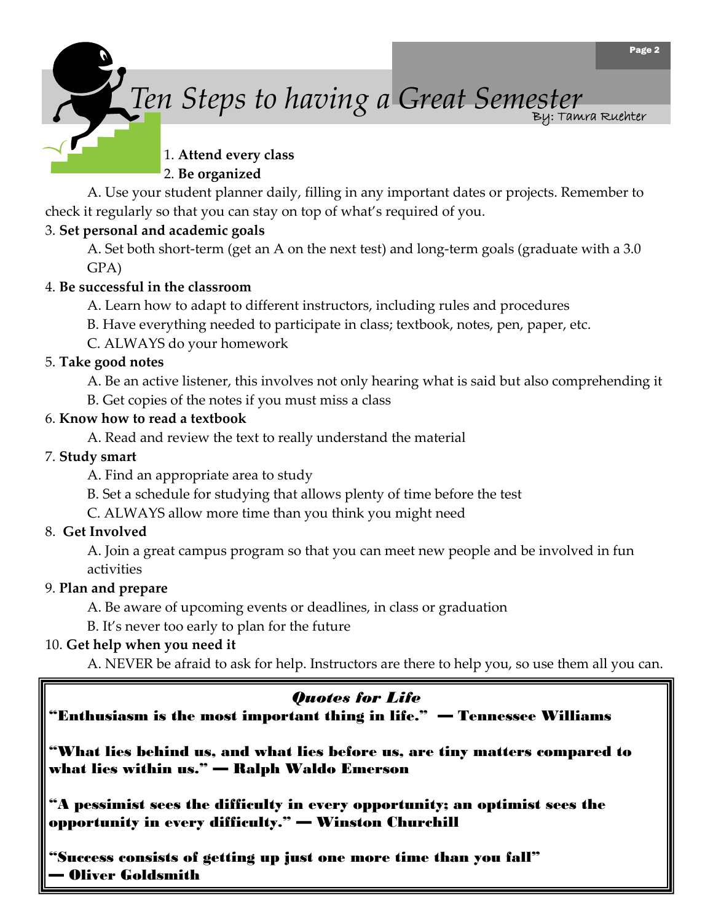



*Ten Steps to having a Great Semester* By: Tamra Ruehter

#### 1. **Attend every class** 2. **Be organized**

A. Use your student planner daily, filling in any important dates or projects. Remember to check it regularly so that you can stay on top of what's required of you.

#### 3. **Set personal and academic goals**

A. Set both short-term (get an A on the next test) and long-term goals (graduate with a 3.0 GPA)

#### 4. **Be successful in the classroom**

A. Learn how to adapt to different instructors, including rules and procedures

B. Have everything needed to participate in class; textbook, notes, pen, paper, etc.

C. ALWAYS do your homework

#### 5. **Take good notes**

A. Be an active listener, this involves not only hearing what is said but also comprehending it

B. Get copies of the notes if you must miss a class

#### 6. **Know how to read a textbook**

A. Read and review the text to really understand the material

#### 7. **Study smart**

A. Find an appropriate area to study

B. Set a schedule for studying that allows plenty of time before the test

C. ALWAYS allow more time than you think you might need

#### 8. **Get Involved**

A. Join a great campus program so that you can meet new people and be involved in fun activities

#### 9. **Plan and prepare**

A. Be aware of upcoming events or deadlines, in class or graduation

B. It's never too early to plan for the future

#### 10. **Get help when you need it**

A. NEVER be afraid to ask for help. Instructors are there to help you, so use them all you can.

#### *Quotes for Life*

"Enthusiasm is the most important thing in life." — Tennessee Williams

"What lies behind us, and what lies before us, are tiny matters compared to what lies within us." — Ralph Waldo Emerson

"A pessimist sees the difficulty in every opportunity; an optimist sees the opportunity in every difficulty." — Winston Churchill

"Success consists of getting up just one more time than you fall" — Oliver Goldsmith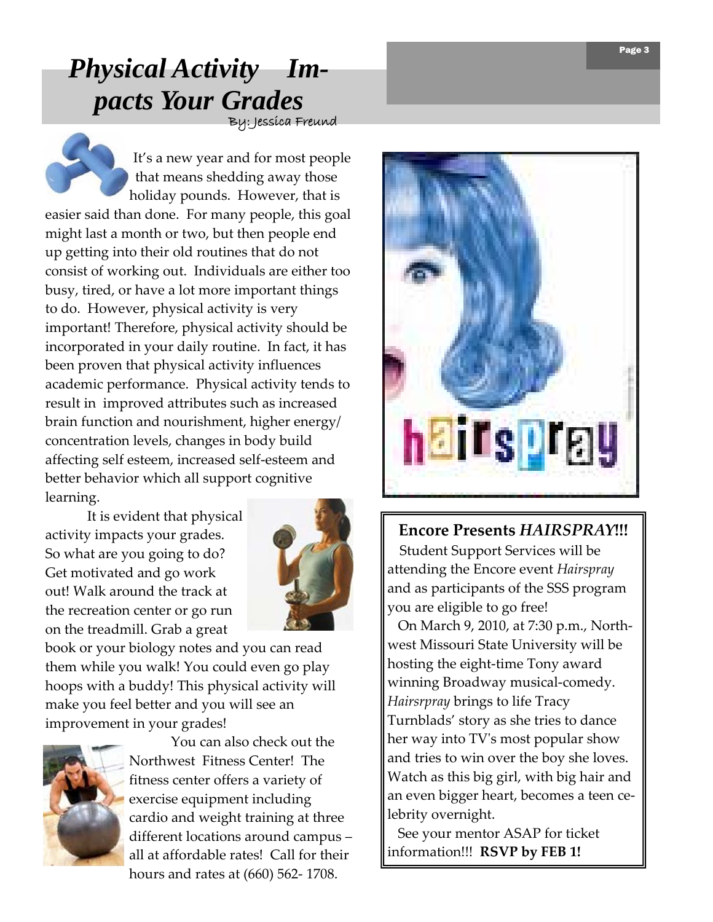### By: Jessica Freund *Physical Activity Impacts Your Grades*

It's a new year and for most people that means shedding away those holiday pounds. However, that is easier said than done. For many people, this goal might last a month or two, but then people end up getting into their old routines that do not consist of working out. Individuals are either too busy, tired, or have a lot more important things to do. However, physical activity is very important! Therefore, physical activity should be incorporated in your daily routine. In fact, it has been proven that physical activity influences academic performance. Physical activity tends to result in improved attributes such as increased brain function and nourishment, higher energy/ concentration levels, changes in body build affecting self esteem, increased self‐esteem and better behavior which all support cognitive learning.

It is evident that physical activity impacts your grades. So what are you going to do? Get motivated and go work out! Walk around the track at the recreation center or go run on the treadmill. Grab a great



book or your biology notes and you can read them while you walk! You could even go play hoops with a buddy! This physical activity will make you feel better and you will see an improvement in your grades!



You can also check out the Northwest Fitness Center! The fitness center offers a variety of exercise equipment including cardio and weight training at three different locations around campus – all at affordable rates! Call for their hours and rates at (660) 562‐ 1708.



#### **Encore Presents** *HAIRSPRAY***!!!**

 Student Support Services will be attending the Encore event *Hairspray* and as participants of the SSS program you are eligible to go free!

 On March 9, 2010, at 7:30 p.m., North‐ west Missouri State University will be hosting the eight‐time Tony award winning Broadway musical-comedy. *Hairsrpray* brings to life Tracy Turnblads' story as she tries to dance her way into TVʹs most popular show and tries to win over the boy she loves. Watch as this big girl, with big hair and an even bigger heart, becomes a teen ce‐ lebrity overnight.

 See your mentor ASAP for ticket information!!! **RSVP by FEB 1!**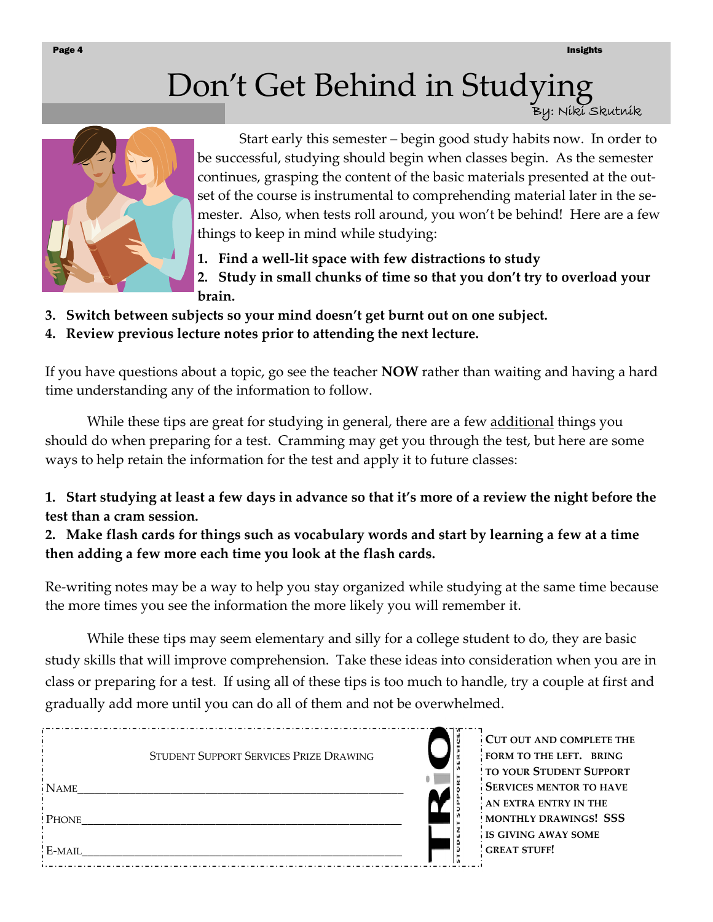## Don't Get Behind in Studying

By: Niki Skutnik



Start early this semester – begin good study habits now. In order to be successful, studying should begin when classes begin. As the semester continues, grasping the content of the basic materials presented at the out‐ set of the course is instrumental to comprehending material later in the semester. Also, when tests roll around, you won't be behind! Here are a few things to keep in mind while studying:

**1. Find a well‐lit space with few distractions to study**

**2. Study in small chunks of time so that you don't try to overload your brain.**

- **3. Switch between subjects so your mind doesn't get burnt out on one subject.**
- **4. Review previous lecture notes prior to attending the next lecture.**

If you have questions about a topic, go see the teacher **NOW** rather than waiting and having a hard time understanding any of the information to follow.

While these tips are great for studying in general, there are a few additional things you should do when preparing for a test. Cramming may get you through the test, but here are some ways to help retain the information for the test and apply it to future classes:

1. Start studying at least a few days in advance so that it's more of a review the night before the **test than a cram session.**

2. Make flash cards for things such as vocabulary words and start by learning a few at a time **then adding a few more each time you look at the flash cards.**

Re‐writing notes may be a way to help you stay organized while studying at the same time because the more times you see the information the more likely you will remember it.

While these tips may seem elementary and silly for a college student to do, they are basic study skills that will improve comprehension. Take these ideas into consideration when you are in class or preparing for a test. If using all of these tips is too much to handle, try a couple at first and gradually add more until you can do all of them and not be overwhelmed.

|             | STUDENT SUPPORT SERVICES PRIZE DRAWING |  |
|-------------|----------------------------------------|--|
| <b>NAME</b> |                                        |  |
| PHONE       |                                        |  |
| E-MAIL      |                                        |  |

**CUT OUT AND COMPLETE THE FORM TO THE LEFT. BRING TO YOUR STUDENT SUPPORT SERVICES MENTOR TO HAVE AN EXTRA ENTRY IN THE MONTHLY DRAWINGS! SSS IS GIVING AWAY SOME GREAT STUFF!**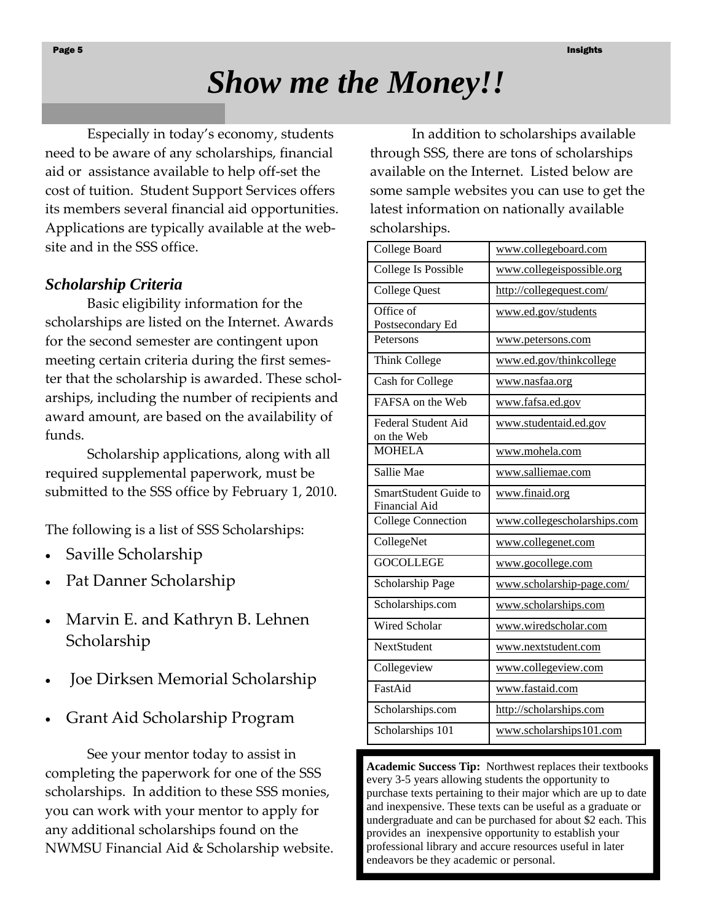## *Show me the Money!!*

 Especially in today's economy, students need to be aware of any scholarships, financial aid or assistance available to help off‐set the cost of tuition. Student Support Services offers its members several financial aid opportunities. Applications are typically available at the web‐ site and in the SSS office.

#### *Scholarship Criteria*

Basic eligibility information for the scholarships are listed on the Internet. Awards for the second semester are contingent upon meeting certain criteria during the first semes‐ ter that the scholarship is awarded. These scholarships, including the number of recipients and award amount, are based on the availability of funds.

Scholarship applications, along with all required supplemental paperwork, must be submitted to the SSS office by February 1, 2010.

The following is a list of SSS Scholarships:

- Saville Scholarship
- Pat Danner Scholarship
- Marvin E. and Kathryn B. Lehnen Scholarship
- Joe Dirksen Memorial Scholarship
- Grant Aid Scholarship Program

See your mentor today to assist in completing the paperwork for one of the SSS scholarships. In addition to these SSS monies, you can work with your mentor to apply for any additional scholarships found on the NWMSU Financial Aid & Scholarship website.

In addition to scholarships available through SSS, there are tons of scholarships available on the Internet. Listed below are some sample websites you can use to get the latest information on nationally available scholarships.

| College Board                                 | www.collegeboard.com        |
|-----------------------------------------------|-----------------------------|
| College Is Possible                           | www.collegeispossible.org   |
| <b>College Quest</b>                          | http://collegequest.com/    |
| Office of<br>Postsecondary Ed                 | www.ed.gov/students         |
| Petersons                                     | www.petersons.com           |
| Think College                                 | www.ed.gov/thinkcollege     |
| Cash for College                              | www.nasfaa.org              |
| FAFSA on the Web                              | www.fafsa.ed.gov            |
| <b>Federal Student Aid</b><br>on the Web      | www.studentaid.ed.gov       |
| <b>MOHELA</b>                                 | www.mohela.com              |
| Sallie Mae                                    | www.salliemae.com           |
| SmartStudent Guide to<br><b>Financial Aid</b> | www.finaid.org              |
| <b>College Connection</b>                     | www.collegescholarships.com |
| CollegeNet                                    | www.collegenet.com          |
| <b>GOCOLLEGE</b>                              | www.gocollege.com           |
| Scholarship Page                              | www.scholarship-page.com/   |
| Scholarships.com                              | www.scholarships.com        |
| <b>Wired Scholar</b>                          | www.wiredscholar.com        |
| <b>NextStudent</b>                            | www.nextstudent.com         |
| Collegeview                                   | www.collegeview.com         |
| FastAid                                       | www.fastaid.com             |
| Scholarships.com                              | http://scholarships.com     |
| Scholarships 101                              | www.scholarships101.com     |

**Academic Success Tip:** Northwest replaces their textbooks every 3-5 years allowing students the opportunity to purchase texts pertaining to their major which are up to date and inexpensive. These texts can be useful as a graduate or undergraduate and can be purchased for about \$2 each. This provides an inexpensive opportunity to establish your professional library and accure resources useful in later endeavors be they academic or personal.